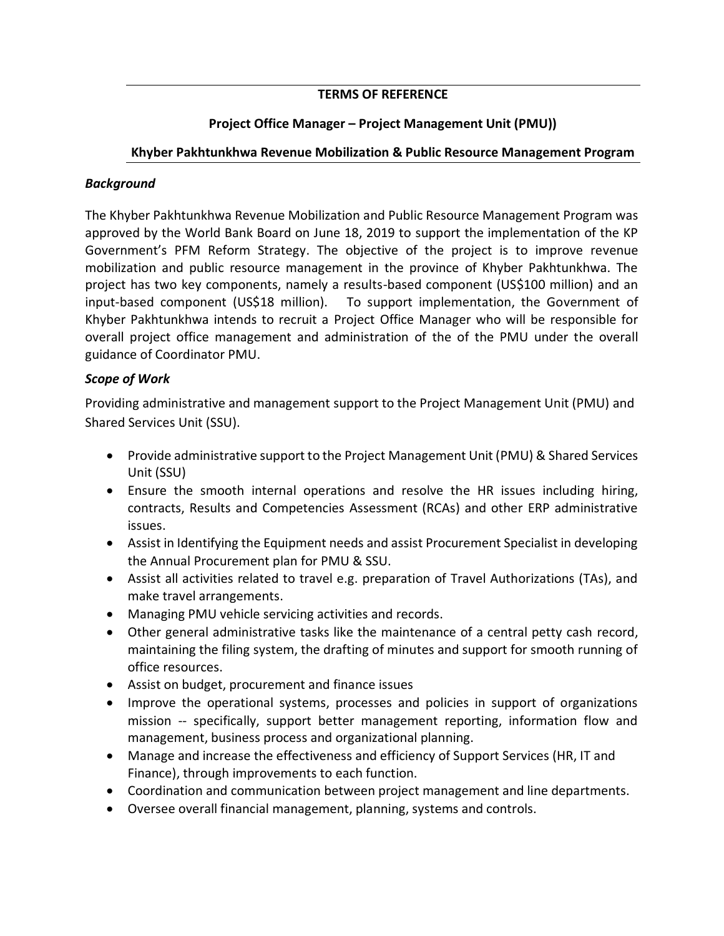#### **TERMS OF REFERENCE**

# **Project Office Manager – Project Management Unit (PMU))**

#### **Khyber Pakhtunkhwa Revenue Mobilization & Public Resource Management Program**

#### *Background*

The Khyber Pakhtunkhwa Revenue Mobilization and Public Resource Management Program was approved by the World Bank Board on June 18, 2019 to support the implementation of the KP Government's PFM Reform Strategy. The objective of the project is to improve revenue mobilization and public resource management in the province of Khyber Pakhtunkhwa. The project has two key components, namely a results-based component (US\$100 million) and an input-based component (US\$18 million). To support implementation, the Government of Khyber Pakhtunkhwa intends to recruit a Project Office Manager who will be responsible for overall project office management and administration of the of the PMU under the overall guidance of Coordinator PMU.

# *Scope of Work*

Providing administrative and management support to the Project Management Unit (PMU) and Shared Services Unit (SSU).

- Provide administrative support to the Project Management Unit (PMU) & Shared Services Unit (SSU)
- Ensure the smooth internal operations and resolve the HR issues including hiring, contracts, Results and Competencies Assessment (RCAs) and other ERP administrative issues.
- Assist in Identifying the Equipment needs and assist Procurement Specialist in developing the Annual Procurement plan for PMU & SSU.
- Assist all activities related to travel e.g. preparation of Travel Authorizations (TAs), and make travel arrangements.
- Managing PMU vehicle servicing activities and records.
- Other general administrative tasks like the maintenance of a central petty cash record, maintaining the filing system, the drafting of minutes and support for smooth running of office resources.
- Assist on budget, procurement and finance issues
- Improve the operational systems, processes and policies in support of organizations mission -- specifically, support better management reporting, information flow and management, business process and organizational planning.
- Manage and increase the effectiveness and efficiency of Support Services (HR, IT and Finance), through improvements to each function.
- Coordination and communication between project management and line departments.
- Oversee overall financial management, planning, systems and controls.